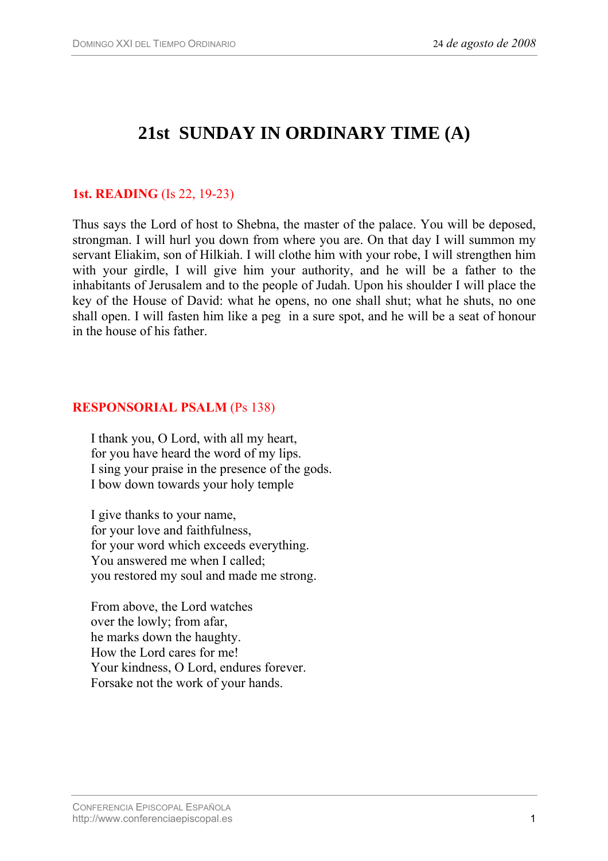# **21st SUNDAY IN ORDINARY TIME (A)**

## **1st. READING** (Is 22, 19-23)

Thus says the Lord of host to Shebna, the master of the palace. You will be deposed, strongman. I will hurl you down from where you are. On that day I will summon my servant Eliakim, son of Hilkiah. I will clothe him with your robe, I will strengthen him with your girdle, I will give him your authority, and he will be a father to the inhabitants of Jerusalem and to the people of Judah. Upon his shoulder I will place the key of the House of David: what he opens, no one shall shut; what he shuts, no one shall open. I will fasten him like a peg in a sure spot, and he will be a seat of honour in the house of his father.

#### **RESPONSORIAL PSALM** (Ps 138)

I thank you, O Lord, with all my heart, for you have heard the word of my lips. I sing your praise in the presence of the gods. I bow down towards your holy temple

I give thanks to your name, for your love and faithfulness, for your word which exceeds everything. You answered me when I called; you restored my soul and made me strong.

From above, the Lord watches over the lowly; from afar, he marks down the haughty. How the Lord cares for me! Your kindness, O Lord, endures forever. Forsake not the work of your hands.